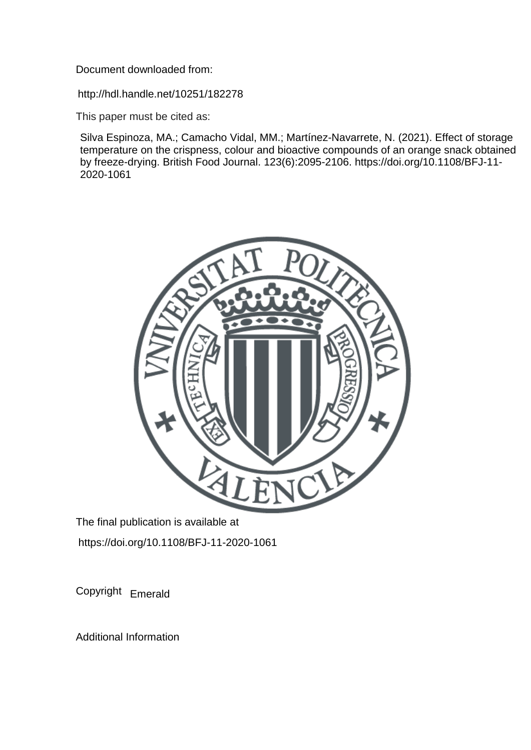Document downloaded from:

http://hdl.handle.net/10251/182278

This paper must be cited as:

Silva Espinoza, MA.; Camacho Vidal, MM.; Martínez-Navarrete, N. (2021). Effect of storage temperature on the crispness, colour and bioactive compounds of an orange snack obtained by freeze-drying. British Food Journal. 123(6):2095-2106. https://doi.org/10.1108/BFJ-11- 2020-1061



The final publication is available at https://doi.org/10.1108/BFJ-11-2020-1061

Copyright Emerald

Additional Information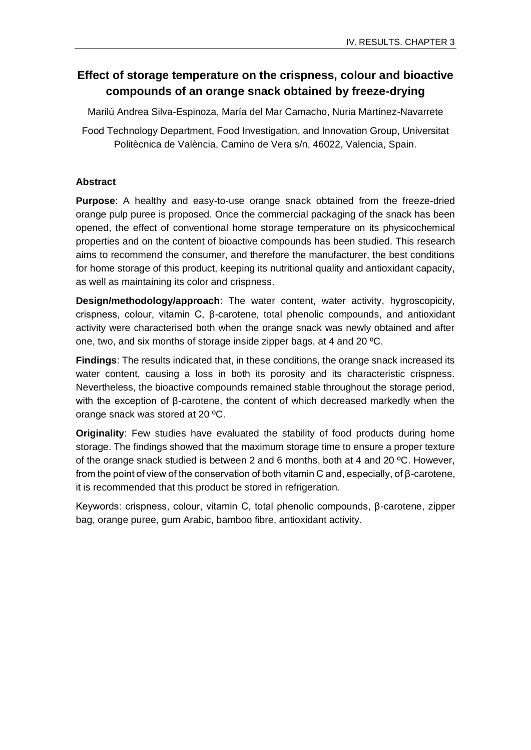# **Effect of storage temperature on the crispness, colour and bioactive compounds of an orange snack obtained by freeze-drying**

Marilú Andrea Silva-Espinoza, María del Mar Camacho, Nuria Martínez-Navarrete

Food Technology Department, Food Investigation, and Innovation Group, Universitat Politècnica de València, Camino de Vera s/n, 46022, Valencia, Spain.

# **Abstract**

**Purpose**: A healthy and easy-to-use orange snack obtained from the freeze-dried orange pulp puree is proposed. Once the commercial packaging of the snack has been opened, the effect of conventional home storage temperature on its physicochemical properties and on the content of bioactive compounds has been studied. This research aims to recommend the consumer, and therefore the manufacturer, the best conditions for home storage of this product, keeping its nutritional quality and antioxidant capacity, as well as maintaining its color and crispness.

**Design/methodology/approach**: The water content, water activity, hygroscopicity, crispness, colour, vitamin C, β-carotene, total phenolic compounds, and antioxidant activity were characterised both when the orange snack was newly obtained and after one, two, and six months of storage inside zipper bags, at 4 and 20 ºC.

**Findings**: The results indicated that, in these conditions, the orange snack increased its water content, causing a loss in both its porosity and its characteristic crispness. Nevertheless, the bioactive compounds remained stable throughout the storage period, with the exception of β-carotene, the content of which decreased markedly when the orange snack was stored at 20 ºC.

**Originality**: Few studies have evaluated the stability of food products during home storage. The findings showed that the maximum storage time to ensure a proper texture of the orange snack studied is between 2 and 6 months, both at 4 and 20 ºC. However, from the point of view of the conservation of both vitamin C and, especially, of β-carotene, it is recommended that this product be stored in refrigeration.

Keywords: crispness, colour, vitamin C, total phenolic compounds, β-carotene, zipper bag, orange puree, gum Arabic, bamboo fibre, antioxidant activity.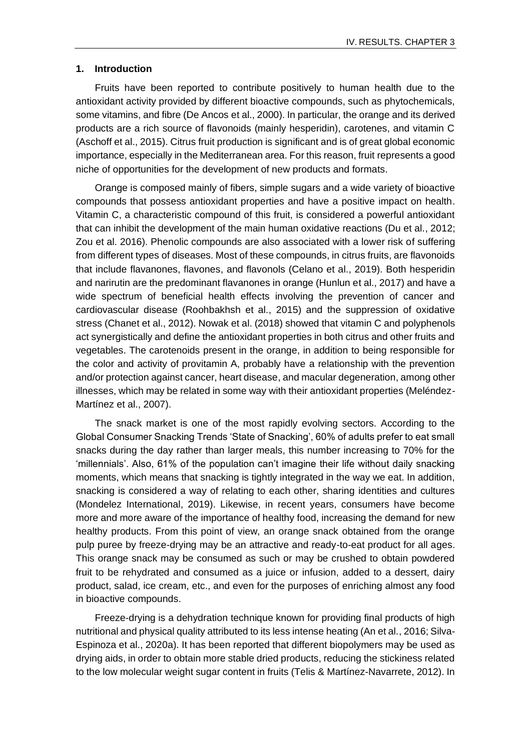#### **1. Introduction**

Fruits have been reported to contribute positively to human health due to the antioxidant activity provided by different bioactive compounds, such as phytochemicals, some vitamins, and fibre (De Ancos et al., 2000). In particular, the orange and its derived products are a rich source of flavonoids (mainly hesperidin), carotenes, and vitamin C (Aschoff et al., 2015). Citrus fruit production is significant and is of great global economic importance, especially in the Mediterranean area. For this reason, fruit represents a good niche of opportunities for the development of new products and formats.

Orange is composed mainly of fibers, simple sugars and a wide variety of bioactive compounds that possess antioxidant properties and have a positive impact on health. Vitamin C, a characteristic compound of this fruit, is considered a powerful antioxidant that can inhibit the development of the main human oxidative reactions (Du et al., 2012; Zou et al. 2016). Phenolic compounds are also associated with a lower risk of suffering from different types of diseases. Most of these compounds, in citrus fruits, are flavonoids that include flavanones, flavones, and flavonols (Celano et al., 2019). Both hesperidin and narirutin are the predominant flavanones in orange (Hunlun et al., 2017) and have a wide spectrum of beneficial health effects involving the prevention of cancer and cardiovascular disease (Roohbakhsh et al., 2015) and the suppression of oxidative stress (Chanet et al., 2012). Nowak et al. (2018) showed that vitamin C and polyphenols act synergistically and define the antioxidant properties in both citrus and other fruits and vegetables. The carotenoids present in the orange, in addition to being responsible for the color and activity of provitamin A, probably have a relationship with the prevention and/or protection against cancer, heart disease, and macular degeneration, among other illnesses, which may be related in some way with their antioxidant properties (Meléndez-Martínez et al., 2007).

The snack market is one of the most rapidly evolving sectors. According to the Global Consumer Snacking Trends 'State of Snacking', 60% of adults prefer to eat small snacks during the day rather than larger meals, this number increasing to 70% for the 'millennials'. Also, 61% of the population can't imagine their life without daily snacking moments, which means that snacking is tightly integrated in the way we eat. In addition, snacking is considered a way of relating to each other, sharing identities and cultures (Mondelez International, 2019). Likewise, in recent years, consumers have become more and more aware of the importance of healthy food, increasing the demand for new healthy products. From this point of view, an orange snack obtained from the orange pulp puree by freeze-drying may be an attractive and ready-to-eat product for all ages. This orange snack may be consumed as such or may be crushed to obtain powdered fruit to be rehydrated and consumed as a juice or infusion, added to a dessert, dairy product, salad, ice cream, etc., and even for the purposes of enriching almost any food in bioactive compounds.

Freeze-drying is a dehydration technique known for providing final products of high nutritional and physical quality attributed to its less intense heating (An et al., 2016; Silva-Espinoza et al., 2020a). It has been reported that different biopolymers may be used as drying aids, in order to obtain more stable dried products, reducing the stickiness related to the low molecular weight sugar content in fruits (Telis & Martínez-Navarrete, 2012). In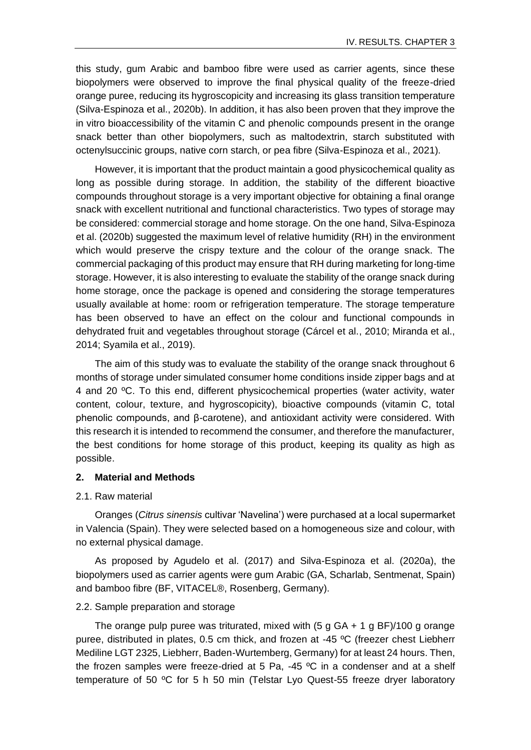this study, gum Arabic and bamboo fibre were used as carrier agents, since these biopolymers were observed to improve the final physical quality of the freeze-dried orange puree, reducing its hygroscopicity and increasing its glass transition temperature (Silva-Espinoza et al., 2020b). In addition, it has also been proven that they improve the in vitro bioaccessibility of the vitamin C and phenolic compounds present in the orange snack better than other biopolymers, such as maltodextrin, starch substituted with octenylsuccinic groups, native corn starch, or pea fibre (Silva-Espinoza et al., 2021).

However, it is important that the product maintain a good physicochemical quality as long as possible during storage. In addition, the stability of the different bioactive compounds throughout storage is a very important objective for obtaining a final orange snack with excellent nutritional and functional characteristics. Two types of storage may be considered: commercial storage and home storage. On the one hand, Silva-Espinoza et al. (2020b) suggested the maximum level of relative humidity (RH) in the environment which would preserve the crispy texture and the colour of the orange snack. The commercial packaging of this product may ensure that RH during marketing for long-time storage. However, it is also interesting to evaluate the stability of the orange snack during home storage, once the package is opened and considering the storage temperatures usually available at home: room or refrigeration temperature. The storage temperature has been observed to have an effect on the colour and functional compounds in dehydrated fruit and vegetables throughout storage (Cárcel et al., 2010; Miranda et al., 2014; Syamila et al., 2019).

The aim of this study was to evaluate the stability of the orange snack throughout 6 months of storage under simulated consumer home conditions inside zipper bags and at 4 and 20 ºC. To this end, different physicochemical properties (water activity, water content, colour, texture, and hygroscopicity), bioactive compounds (vitamin C, total phenolic compounds, and β-carotene), and antioxidant activity were considered. With this research it is intended to recommend the consumer, and therefore the manufacturer, the best conditions for home storage of this product, keeping its quality as high as possible.

### **2. Material and Methods**

### 2.1. Raw material

Oranges (*Citrus sinensis* cultivar 'Navelina') were purchased at a local supermarket in Valencia (Spain). They were selected based on a homogeneous size and colour, with no external physical damage.

As proposed by Agudelo et al. (2017) and Silva-Espinoza et al. (2020a), the biopolymers used as carrier agents were gum Arabic (GA, Scharlab, Sentmenat, Spain) and bamboo fibre (BF, VITACEL®, Rosenberg, Germany).

### 2.2. Sample preparation and storage

The orange pulp puree was triturated, mixed with  $(5 \text{ g GA} + 1 \text{ g BF})/100 \text{ g orange}$ puree, distributed in plates, 0.5 cm thick, and frozen at -45 ºC (freezer chest Liebherr Mediline LGT 2325, Liebherr, Baden-Wurtemberg, Germany) for at least 24 hours. Then, the frozen samples were freeze-dried at 5 Pa, -45 ºC in a condenser and at a shelf temperature of 50 ºC for 5 h 50 min (Telstar Lyo Quest-55 freeze dryer laboratory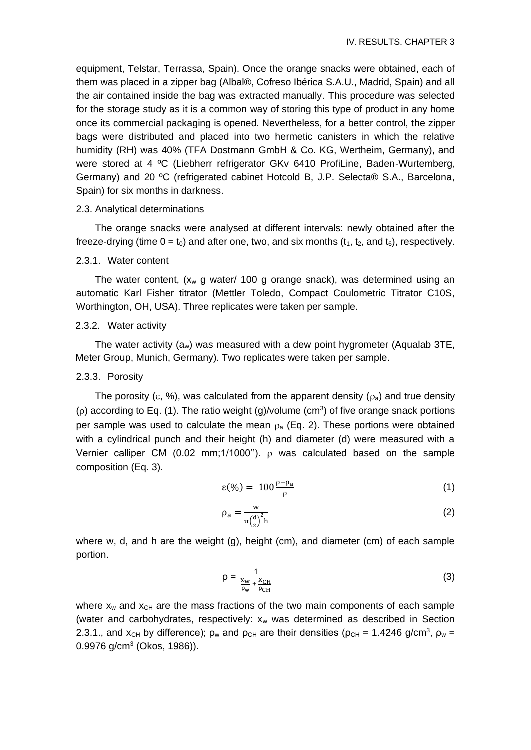equipment, Telstar, Terrassa, Spain). Once the orange snacks were obtained, each of them was placed in a zipper bag (Albal®, Cofreso Ibérica S.A.U., Madrid, Spain) and all the air contained inside the bag was extracted manually. This procedure was selected for the storage study as it is a common way of storing this type of product in any home once its commercial packaging is opened. Nevertheless, for a better control, the zipper bags were distributed and placed into two hermetic canisters in which the relative humidity (RH) was 40% (TFA Dostmann GmbH & Co. KG, Wertheim, Germany), and were stored at 4 °C (Liebherr refrigerator GKv 6410 ProfiLine, Baden-Wurtemberg, Germany) and 20 ºC (refrigerated cabinet Hotcold B, J.P. Selecta® S.A., Barcelona, Spain) for six months in darkness.

### 2.3. Analytical determinations

The orange snacks were analysed at different intervals: newly obtained after the freeze-drying (time  $0 = t_0$ ) and after one, two, and six months ( $t_1$ ,  $t_2$ , and  $t_6$ ), respectively.

### 2.3.1. Water content

The water content,  $(x_w \, g$  water/ 100 g orange snack), was determined using an automatic Karl Fisher titrator (Mettler Toledo, Compact Coulometric Titrator C10S, Worthington, OH, USA). Three replicates were taken per sample.

### 2.3.2. Water activity

The water activity  $(a_w)$  was measured with a dew point hygrometer (Aqualab 3TE, Meter Group, Munich, Germany). Two replicates were taken per sample.

#### 2.3.3. Porosity

The porosity ( $\varepsilon$ , %), was calculated from the apparent density ( $\rho_a$ ) and true density  $(p)$  according to Eq. (1). The ratio weight (g)/volume (cm<sup>3</sup>) of five orange snack portions per sample was used to calculate the mean  $\rho_a$  (Eq. 2). These portions were obtained with a cylindrical punch and their height (h) and diameter (d) were measured with a Vernier calliper CM (0.02 mm;1/1000").  $\rho$  was calculated based on the sample composition (Eq. 3).

$$
\varepsilon(\%) = 100 \frac{\rho - \rho_a}{\rho} \tag{1}
$$

$$
\rho_a = \frac{w}{\pi \left(\frac{d}{2}\right)^2 h} \tag{2}
$$

where w, d, and h are the weight (g), height (cm), and diameter (cm) of each sample portion.

$$
\rho = \frac{1}{\frac{X_W}{\rho_W} + \frac{X_{CH}}{\rho_{CH}}} \tag{3}
$$

where  $x_w$  and  $x_{CH}$  are the mass fractions of the two main components of each sample (water and carbohydrates, respectively:  $x_w$  was determined as described in Section 2.3.1., and  $x_{CH}$  by difference);  $\rho_w$  and  $\rho_{CH}$  are their densities ( $\rho_{CH}$  = 1.4246 g/cm<sup>3</sup>,  $\rho_w$  = 0.9976 g/cm<sup>3</sup> (Okos, 1986)).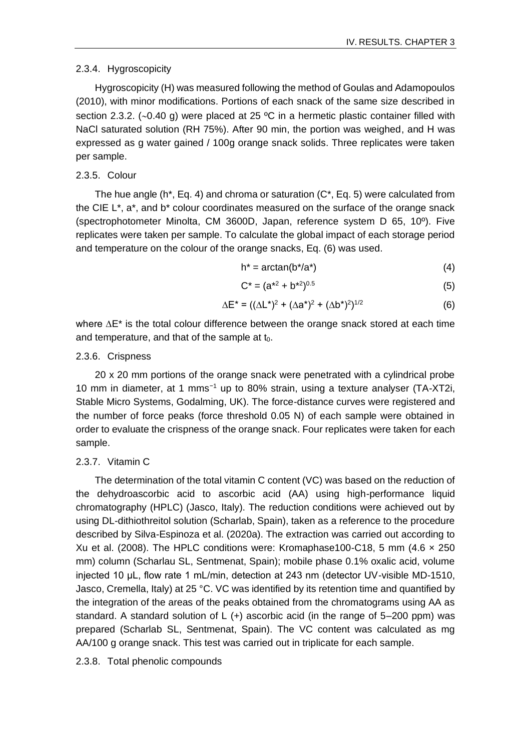### 2.3.4. Hygroscopicity

Hygroscopicity (H) was measured following the method of Goulas and Adamopoulos (2010), with minor modifications. Portions of each snack of the same size described in section 2.3.2. (~0.40 g) were placed at 25  $\degree$ C in a hermetic plastic container filled with NaCl saturated solution (RH 75%). After 90 min, the portion was weighed, and H was expressed as g water gained / 100g orange snack solids. Three replicates were taken per sample.

### 2.3.5. Colour

The hue angle (h<sup>\*</sup>, Eq. 4) and chroma or saturation  $(C^*$ , Eq. 5) were calculated from the CIE  $L^*$ ,  $a^*$ , and  $b^*$  colour coordinates measured on the surface of the orange snack (spectrophotometer Minolta, CM 3600D, Japan, reference system D 65, 10º). Five replicates were taken per sample. To calculate the global impact of each storage period and temperature on the colour of the orange snacks, Eq. (6) was used.

$$
h^* = \arctan(b^*/a^*)
$$
 (4)

$$
C^* = (a^{*2} + b^{*2})^{0.5}
$$
 (5)

$$
\Delta E^* = ((\Delta L^*)^2 + (\Delta a^*)^2 + (\Delta b^*)^2)^{1/2}
$$
 (6)

where ∆E<sup>\*</sup> is the total colour difference between the orange snack stored at each time and temperature, and that of the sample at  $t_0$ .

### 2.3.6. Crispness

20 x 20 mm portions of the orange snack were penetrated with a cylindrical probe 10 mm in diameter, at 1 mms−1 up to 80% strain, using a texture analyser (TA-XT2i, Stable Micro Systems, Godalming, UK). The force-distance curves were registered and the number of force peaks (force threshold 0.05 N) of each sample were obtained in order to evaluate the crispness of the orange snack. Four replicates were taken for each sample.

## 2.3.7. Vitamin C

The determination of the total vitamin C content (VC) was based on the reduction of the dehydroascorbic acid to ascorbic acid (AA) using high-performance liquid chromatography (HPLC) (Jasco, Italy). The reduction conditions were achieved out by using DL-dithiothreitol solution (Scharlab, Spain), taken as a reference to the procedure described by Silva-Espinoza et al. (2020a). The extraction was carried out according to Xu et al. (2008). The HPLC conditions were: Kromaphase100-C18, 5 mm (4.6  $\times$  250 mm) column (Scharlau SL, Sentmenat, Spain); mobile phase 0.1% oxalic acid, volume injected 10 μL, flow rate 1 mL/min, detection at 243 nm (detector UV-visible MD-1510, Jasco, Cremella, Italy) at 25 °C. VC was identified by its retention time and quantified by the integration of the areas of the peaks obtained from the chromatograms using AA as standard. A standard solution of  $L$  (+) ascorbic acid (in the range of 5–200 ppm) was prepared (Scharlab SL, Sentmenat, Spain). The VC content was calculated as mg AA/100 g orange snack. This test was carried out in triplicate for each sample.

## 2.3.8. Total phenolic compounds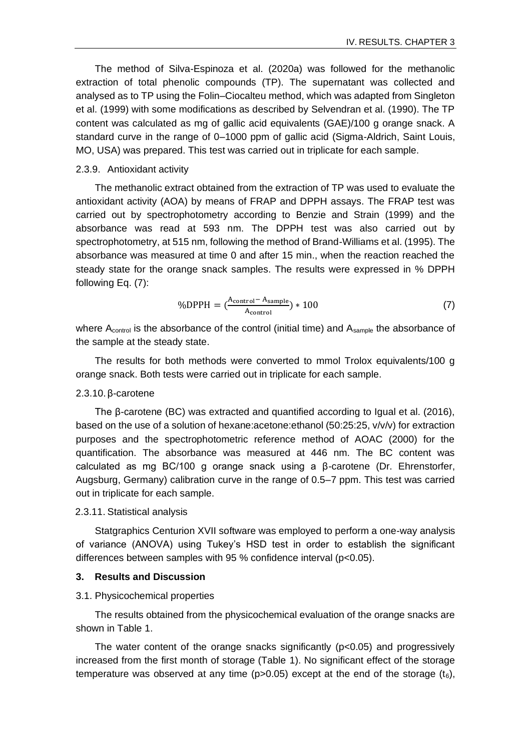The method of Silva-Espinoza et al. (2020a) was followed for the methanolic extraction of total phenolic compounds (TP). The supernatant was collected and analysed as to TP using the Folin–Ciocalteu method, which was adapted from Singleton et al. (1999) with some modifications as described by Selvendran et al. (1990). The TP content was calculated as mg of gallic acid equivalents (GAE)/100 g orange snack. A standard curve in the range of 0–1000 ppm of gallic acid (Sigma-Aldrich, Saint Louis, MO, USA) was prepared. This test was carried out in triplicate for each sample.

#### 2.3.9. Antioxidant activity

The methanolic extract obtained from the extraction of TP was used to evaluate the antioxidant activity (AOA) by means of FRAP and DPPH assays. The FRAP test was carried out by spectrophotometry according to Benzie and Strain (1999) and the absorbance was read at 593 nm. The DPPH test was also carried out by spectrophotometry, at 515 nm, following the method of Brand-Williams et al. (1995). The absorbance was measured at time 0 and after 15 min., when the reaction reached the steady state for the orange snack samples. The results were expressed in % DPPH following Eq. (7):

$$
\%DPPH = \left(\frac{A_{\text{control}} - A_{\text{sample}}}{A_{\text{control}}}\right) * 100\tag{7}
$$

where  $A_{control}$  is the absorbance of the control (initial time) and  $A_{sample}$  the absorbance of the sample at the steady state.

The results for both methods were converted to mmol Trolox equivalents/100 g orange snack. Both tests were carried out in triplicate for each sample.

### 2.3.10. β-carotene

The β-carotene (BC) was extracted and quantified according to Igual et al. (2016), based on the use of a solution of hexane:acetone:ethanol (50:25:25, v/v/v) for extraction purposes and the spectrophotometric reference method of AOAC (2000) for the quantification. The absorbance was measured at 446 nm. The BC content was calculated as mg BC/100 g orange snack using a β-carotene (Dr. Ehrenstorfer, Augsburg, Germany) calibration curve in the range of 0.5–7 ppm. This test was carried out in triplicate for each sample.

#### 2.3.11. Statistical analysis

Statgraphics Centurion XVII software was employed to perform a one-way analysis of variance (ANOVA) using Tukey's HSD test in order to establish the significant differences between samples with 95 % confidence interval (p<0.05).

### **3. Results and Discussion**

### 3.1. Physicochemical properties

The results obtained from the physicochemical evaluation of the orange snacks are shown in Table 1.

The water content of the orange snacks significantly (p<0.05) and progressively increased from the first month of storage (Table 1). No significant effect of the storage temperature was observed at any time ( $p > 0.05$ ) except at the end of the storage ( $t_6$ ),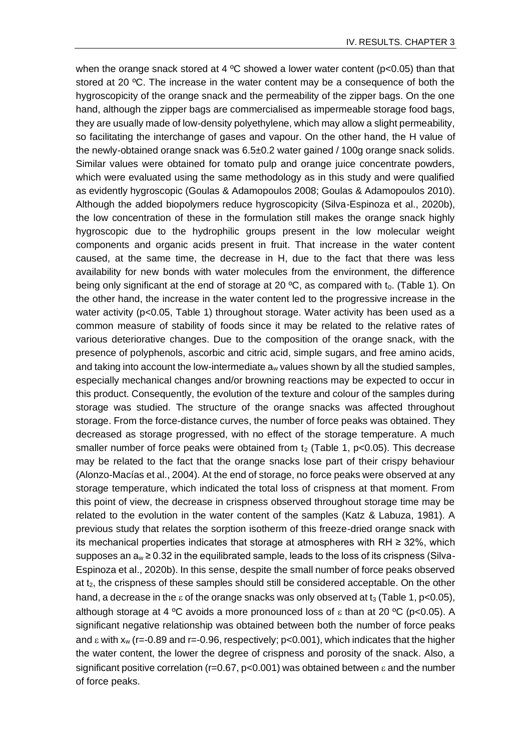when the orange snack stored at 4  $\degree$ C showed a lower water content (p<0.05) than that stored at 20 °C. The increase in the water content may be a consequence of both the hygroscopicity of the orange snack and the permeability of the zipper bags. On the one hand, although the zipper bags are commercialised as impermeable storage food bags, they are usually made of low-density polyethylene, which may allow a slight permeability, so facilitating the interchange of gases and vapour. On the other hand, the H value of the newly-obtained orange snack was 6.5±0.2 water gained / 100g orange snack solids. Similar values were obtained for tomato pulp and orange juice concentrate powders, which were evaluated using the same methodology as in this study and were qualified as evidently hygroscopic (Goulas & Adamopoulos 2008; Goulas & Adamopoulos 2010). Although the added biopolymers reduce hygroscopicity (Silva-Espinoza et al., 2020b), the low concentration of these in the formulation still makes the orange snack highly hygroscopic due to the hydrophilic groups present in the low molecular weight components and organic acids present in fruit. That increase in the water content caused, at the same time, the decrease in H, due to the fact that there was less availability for new bonds with water molecules from the environment, the difference being only significant at the end of storage at 20  $^{\circ}$ C, as compared with t<sub>0</sub>. (Table 1). On the other hand, the increase in the water content led to the progressive increase in the water activity (p<0.05, Table 1) throughout storage. Water activity has been used as a common measure of stability of foods since it may be related to the relative rates of various deteriorative changes. Due to the composition of the orange snack, with the presence of polyphenols, ascorbic and citric acid, simple sugars, and free amino acids, and taking into account the low-intermediate  $a_w$  values shown by all the studied samples, especially mechanical changes and/or browning reactions may be expected to occur in this product. Consequently, the evolution of the texture and colour of the samples during storage was studied. The structure of the orange snacks was affected throughout storage. From the force-distance curves, the number of force peaks was obtained. They decreased as storage progressed, with no effect of the storage temperature. A much smaller number of force peaks were obtained from  $t_2$  (Table 1, p<0.05). This decrease may be related to the fact that the orange snacks lose part of their crispy behaviour (Alonzo-Macías et al., 2004). At the end of storage, no force peaks were observed at any storage temperature, which indicated the total loss of crispness at that moment. From this point of view, the decrease in crispness observed throughout storage time may be related to the evolution in the water content of the samples (Katz & Labuza, 1981). A previous study that relates the sorption isotherm of this freeze-dried orange snack with its mechanical properties indicates that storage at atmospheres with RH ≥ 32%, which supposes an  $a_w \ge 0.32$  in the equilibrated sample, leads to the loss of its crispness (Silva-Espinoza et al., 2020b). In this sense, despite the small number of force peaks observed at  $t<sub>2</sub>$ , the crispness of these samples should still be considered acceptable. On the other hand, a decrease in the  $\varepsilon$  of the orange snacks was only observed at  $t_3$  (Table 1, p<0.05), although storage at 4 °C avoids a more pronounced loss of  $\varepsilon$  than at 20 °C (p<0.05). A significant negative relationship was obtained between both the number of force peaks and  $\epsilon$  with  $x_w$  (r=-0.89 and r=-0.96, respectively;  $p<0.001$ ), which indicates that the higher the water content, the lower the degree of crispness and porosity of the snack. Also, a significant positive correlation (r=0.67, p<0.001) was obtained between  $\varepsilon$  and the number of force peaks.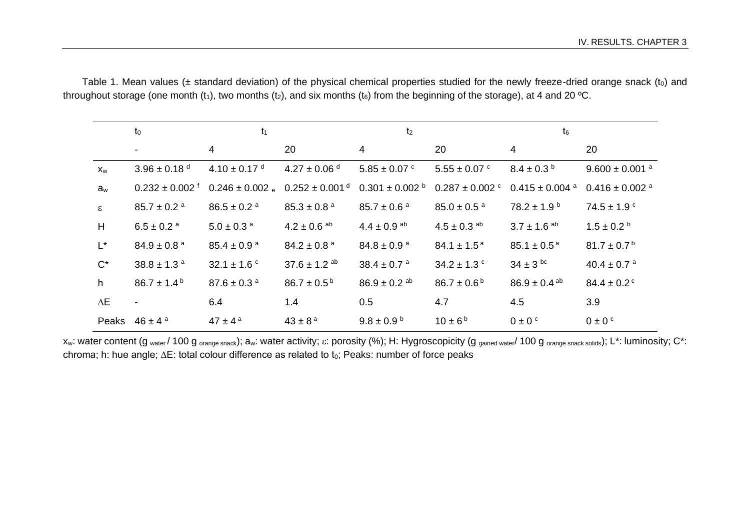|                           | t <sub>0</sub>                 | $t_1$                       |                                | t <sub>2</sub>               |                                |                                | $t_6$                          |  |
|---------------------------|--------------------------------|-----------------------------|--------------------------------|------------------------------|--------------------------------|--------------------------------|--------------------------------|--|
|                           | $\blacksquare$                 | 4                           | 20                             | 4                            | 20                             | $\overline{4}$                 | 20                             |  |
| $\mathsf{X}_{\mathsf{W}}$ | 3.96 ± 0.18 $^{\rm d}$         | $4.10 \pm 0.17$ d           | $4.27 \pm 0.06$ d              | $5.85 \pm 0.07$ °            | $5.55 \pm 0.07$ °              | $8.4 \pm 0.3^{\circ}$          | $9.600 \pm 0.001$ <sup>a</sup> |  |
| $a_w$                     | $0.232 \pm 0.002$ <sup>f</sup> | $0.246 \pm 0.002$ e         | $0.252 \pm 0.001$ <sup>d</sup> | $0.301 \pm 0.002$ b          | $0.287 \pm 0.002$ <sup>c</sup> | $0.415 \pm 0.004$ <sup>a</sup> | $0.416 \pm 0.002$ <sup>a</sup> |  |
| $\varepsilon$             | $85.7 \pm 0.2$ <sup>a</sup>    | $86.5 \pm 0.2$ <sup>a</sup> | $85.3 \pm 0.8$ <sup>a</sup>    | $85.7 \pm 0.6^{\text{ a}}$   | $85.0 \pm 0.5$ <sup>a</sup>    | $78.2 \pm 1.9^{\text{ b}}$     | $74.5 \pm 1.9$ $^{\circ}$      |  |
| H                         | $6.5 \pm 0.2$ <sup>a</sup>     | $5.0 \pm 0.3$ <sup>a</sup>  | $4.2 \pm 0.6$ <sup>ab</sup>    | $4.4 \pm 0.9$ <sup>ab</sup>  | $4.5 \pm 0.3$ <sup>ab</sup>    | $3.7 \pm 1.6$ <sup>ab</sup>    | $1.5 \pm 0.2$ b                |  |
| $L^{\star}$               | $84.9 \pm 0.8$ <sup>a</sup>    | $85.4 \pm 0.9$ <sup>a</sup> | $84.2 \pm 0.8$ <sup>a</sup>    | $84.8 \pm 0.9$ <sup>a</sup>  | $84.1 \pm 1.5^{\text{a}}$      | $85.1 \pm 0.5^{\text{a}}$      | $81.7 \pm 0.7^{\circ}$         |  |
| $C^*$                     | 38.8 ± 1.3 $a$                 | 32.1 $\pm$ 1.6 $\degree$    | $37.6 \pm 1.2$ <sup>ab</sup>   | $38.4 \pm 0.7$ <sup>a</sup>  | 34.2 $\pm$ 1.3 $\degree$       | $34 \pm 3^{6}$                 | $40.4 \pm 0.7$ <sup>a</sup>    |  |
| h                         | $86.7 \pm 1.4^{\text{b}}$      | $87.6 \pm 0.3$ <sup>a</sup> | $86.7 \pm 0.5^{\,\rm b}$       | $86.9 \pm 0.2$ <sup>ab</sup> | $86.7 \pm 0.6^{\text{b}}$      | $86.9 \pm 0.4$ <sup>ab</sup>   | $84.4 \pm 0.2$ <sup>c</sup>    |  |
| $\Delta E$                | $\overline{\phantom{a}}$       | 6.4                         | 1.4                            | 0.5                          | 4.7                            | 4.5                            | 3.9                            |  |
|                           | Peaks $46 \pm 4^a$             | $47 \pm 4^{\text{a}}$       | $43 \pm 8^{\rm a}$             | $9.8 \pm 0.9^{\text{ b}}$    | $10 \pm 6^{\circ}$             | $0 \pm 0$ <sup>c</sup>         | $0 \pm 0$ <sup>c</sup>         |  |

Table 1. Mean values ( $\pm$  standard deviation) of the physical chemical properties studied for the newly freeze-dried orange snack (to) and throughout storage (one month  $(t_1)$ , two months  $(t_2)$ , and six months  $(t_6)$  from the beginning of the storage), at 4 and 20 °C.

x<sub>w</sub>: water content (g water / 100 g orange snack); aw: water activity;  $\varepsilon$ : porosity (%); H: Hygroscopicity (g gained water/ 100 g orange snack solids); L\*: luminosity; C\*: chroma; h: hue angle; ∆E: total colour difference as related to t<sub>0</sub>; Peaks: number of force peaks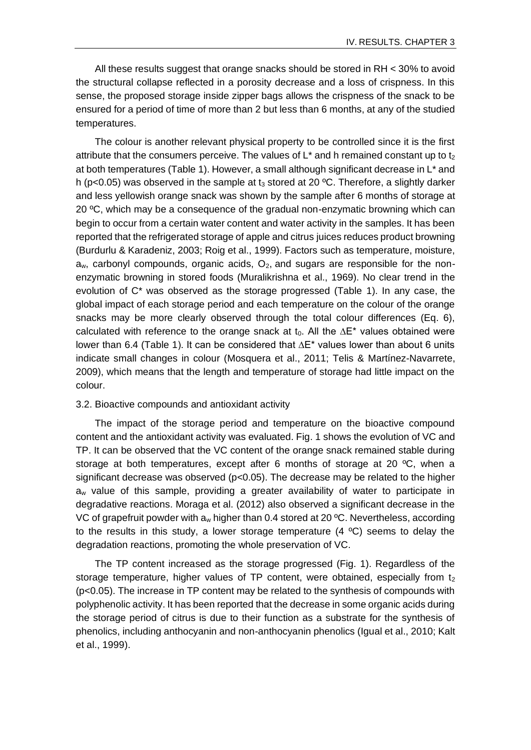All these results suggest that orange snacks should be stored in RH < 30% to avoid the structural collapse reflected in a porosity decrease and a loss of crispness. In this sense, the proposed storage inside zipper bags allows the crispness of the snack to be ensured for a period of time of more than 2 but less than 6 months, at any of the studied temperatures.

The colour is another relevant physical property to be controlled since it is the first attribute that the consumers perceive. The values of  $L^*$  and h remained constant up to t<sub>2</sub> at both temperatures (Table 1). However, a small although significant decrease in L\* and h ( $p$ <0.05) was observed in the sample at  $t_3$  stored at 20 °C. Therefore, a slightly darker and less yellowish orange snack was shown by the sample after 6 months of storage at 20  $\degree$ C, which may be a consequence of the gradual non-enzymatic browning which can begin to occur from a certain water content and water activity in the samples. It has been reported that the refrigerated storage of apple and citrus juices reduces product browning (Burdurlu & Karadeniz, 2003; Roig et al., 1999). Factors such as temperature, moisture,  $a<sub>w</sub>$ , carbonyl compounds, organic acids,  $O<sub>2</sub>$ , and sugars are responsible for the nonenzymatic browning in stored foods (Muralikrishna et al., 1969). No clear trend in the evolution of C\* was observed as the storage progressed (Table 1). In any case, the global impact of each storage period and each temperature on the colour of the orange snacks may be more clearly observed through the total colour differences (Eq. 6), calculated with reference to the orange snack at t<sub>0</sub>. All the  $\Delta E^*$  values obtained were lower than 6.4 (Table 1). It can be considered that ∆E\* values lower than about 6 units indicate small changes in colour (Mosquera et al., 2011; Telis & Martínez-Navarrete, 2009), which means that the length and temperature of storage had little impact on the colour.

### 3.2. Bioactive compounds and antioxidant activity

The impact of the storage period and temperature on the bioactive compound content and the antioxidant activity was evaluated. Fig. 1 shows the evolution of VC and TP. It can be observed that the VC content of the orange snack remained stable during storage at both temperatures, except after 6 months of storage at 20  $^{\circ}$ C, when a significant decrease was observed  $(p<0.05)$ . The decrease may be related to the higher  $a<sub>w</sub>$  value of this sample, providing a greater availability of water to participate in degradative reactions. Moraga et al. (2012) also observed a significant decrease in the VC of grapefruit powder with  $a_w$  higher than 0.4 stored at 20 °C. Nevertheless, according to the results in this study, a lower storage temperature  $(4 \degree C)$  seems to delay the degradation reactions, promoting the whole preservation of VC.

The TP content increased as the storage progressed (Fig. 1). Regardless of the storage temperature, higher values of TP content, were obtained, especially from  $t_2$ (p<0.05). The increase in TP content may be related to the synthesis of compounds with polyphenolic activity. It has been reported that the decrease in some organic acids during the storage period of citrus is due to their function as a substrate for the synthesis of phenolics, including anthocyanin and non-anthocyanin phenolics (Igual et al., 2010; Kalt et al., 1999).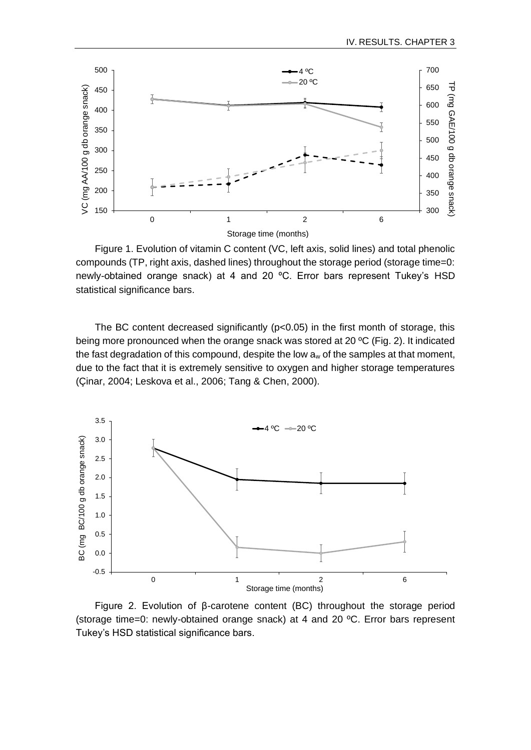

Figure 1. Evolution of vitamin C content (VC, left axis, solid lines) and total phenolic compounds (TP, right axis, dashed lines) throughout the storage period (storage time=0: newly-obtained orange snack) at 4 and 20 ºC. Error bars represent Tukey's HSD statistical significance bars.

The BC content decreased significantly  $(p<0.05)$  in the first month of storage, this being more pronounced when the orange snack was stored at 20 ºC (Fig. 2). It indicated the fast degradation of this compound, despite the low  $a_w$  of the samples at that moment, due to the fact that it is extremely sensitive to oxygen and higher storage temperatures (Çinar, 2004; Leskova et al., 2006; Tang & Chen, 2000).



Figure 2. Evolution of β-carotene content (BC) throughout the storage period (storage time=0: newly-obtained orange snack) at 4 and 20 ºC. Error bars represent Tukey's HSD statistical significance bars.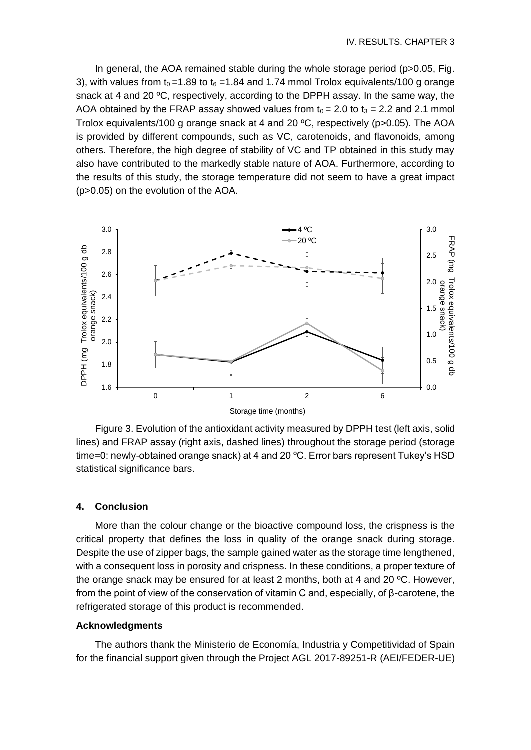In general, the AOA remained stable during the whole storage period (p>0.05, Fig. 3), with values from  $t_0 = 1.89$  to  $t_6 = 1.84$  and 1.74 mmol Trolox equivalents/100 g orange snack at 4 and 20 ºC, respectively, according to the DPPH assay. In the same way, the AOA obtained by the FRAP assay showed values from  $t_0 = 2.0$  to  $t_3 = 2.2$  and 2.1 mmol Trolox equivalents/100 g orange snack at 4 and 20 ºC, respectively (p>0.05). The AOA is provided by different compounds, such as VC, carotenoids, and flavonoids, among others. Therefore, the high degree of stability of VC and TP obtained in this study may also have contributed to the markedly stable nature of AOA. Furthermore, according to the results of this study, the storage temperature did not seem to have a great impact (p>0.05) on the evolution of the AOA.



Figure 3. Evolution of the antioxidant activity measured by DPPH test (left axis, solid lines) and FRAP assay (right axis, dashed lines) throughout the storage period (storage time=0: newly-obtained orange snack) at 4 and 20 °C. Error bars represent Tukey's HSD statistical significance bars.

## **4. Conclusion**

More than the colour change or the bioactive compound loss, the crispness is the critical property that defines the loss in quality of the orange snack during storage. Despite the use of zipper bags, the sample gained water as the storage time lengthened, with a consequent loss in porosity and crispness. In these conditions, a proper texture of the orange snack may be ensured for at least 2 months, both at 4 and 20 ºC. However, from the point of view of the conservation of vitamin C and, especially, of β-carotene, the refrigerated storage of this product is recommended.

### **Acknowledgments**

The authors thank the Ministerio de Economía, Industria y Competitividad of Spain for the financial support given through the Project AGL 2017-89251-R (AEI/FEDER-UE)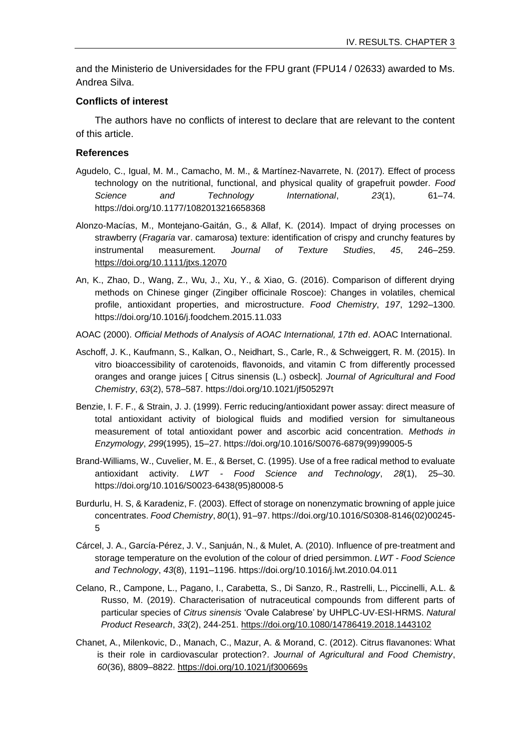and the Ministerio de Universidades for the FPU grant (FPU14 / 02633) awarded to Ms. Andrea Silva.

### **Conflicts of interest**

The authors have no conflicts of interest to declare that are relevant to the content of this article.

### **References**

- Agudelo, C., Igual, M. M., Camacho, M. M., & Martínez-Navarrete, N. (2017). Effect of process technology on the nutritional, functional, and physical quality of grapefruit powder. *Food Science and Technology International*, *23*(1), 61–74. https://doi.org/10.1177/1082013216658368
- Alonzo-Macías, M., Montejano-Gaitán, G., & Allaf, K. (2014). Impact of drying processes on strawberry (*Fragaria* var. camarosa) texture: identification of crispy and crunchy features by instrumental measurement. *Journal of Texture Studies*, *45*, 246–259. <https://doi.org/10.1111/jtxs.12070>
- An, K., Zhao, D., Wang, Z., Wu, J., Xu, Y., & Xiao, G. (2016). Comparison of different drying methods on Chinese ginger (Zingiber officinale Roscoe): Changes in volatiles, chemical profile, antioxidant properties, and microstructure. *Food Chemistry*, *197*, 1292–1300. https://doi.org/10.1016/j.foodchem.2015.11.033
- AOAC (2000). *Official Methods of Analysis of AOAC International, 17th ed*. AOAC International.
- Aschoff, J. K., Kaufmann, S., Kalkan, O., Neidhart, S., Carle, R., & Schweiggert, R. M. (2015). In vitro bioaccessibility of carotenoids, flavonoids, and vitamin C from differently processed oranges and orange juices [ Citrus sinensis (L.) osbeck]. *Journal of Agricultural and Food Chemistry*, *63*(2), 578–587. https://doi.org/10.1021/jf505297t
- Benzie, I. F. F., & Strain, J. J. (1999). Ferric reducing/antioxidant power assay: direct measure of total antioxidant activity of biological fluids and modified version for simultaneous measurement of total antioxidant power and ascorbic acid concentration. *Methods in Enzymology*, *299*(1995), 15–27. https://doi.org/10.1016/S0076-6879(99)99005-5
- Brand-Williams, W., Cuvelier, M. E., & Berset, C. (1995). Use of a free radical method to evaluate antioxidant activity. *LWT - Food Science and Technology*, *28*(1), 25–30. https://doi.org/10.1016/S0023-6438(95)80008-5
- Burdurlu, H. S, & Karadeniz, F. (2003). Effect of storage on nonenzymatic browning of apple juice concentrates. *Food Chemistry*, *80*(1), 91–97. https://doi.org/10.1016/S0308-8146(02)00245- 5
- Cárcel, J. A., García-Pérez, J. V., Sanjuán, N., & Mulet, A. (2010). Influence of pre-treatment and storage temperature on the evolution of the colour of dried persimmon. *LWT - Food Science and Technology*, *43*(8), 1191–1196. https://doi.org/10.1016/j.lwt.2010.04.011
- Celano, R., Campone, L., Pagano, I., Carabetta, S., Di Sanzo, R., Rastrelli, L., Piccinelli, A.L. & Russo, M. (2019). Characterisation of nutraceutical compounds from different parts of particular species of *Citrus sinensis* 'Ovale Calabrese' by UHPLC-UV-ESI-HRMS. *Natural Product Research*, *33*(2), 244-251.<https://doi.org/10.1080/14786419.2018.1443102>
- Chanet, A., Milenkovic, D., Manach, C., Mazur, A. & Morand, C. (2012). Citrus flavanones: What is their role in cardiovascular protection?. *Journal of Agricultural and Food Chemistry*, *60*(36), 8809–8822.<https://doi.org/10.1021/jf300669s>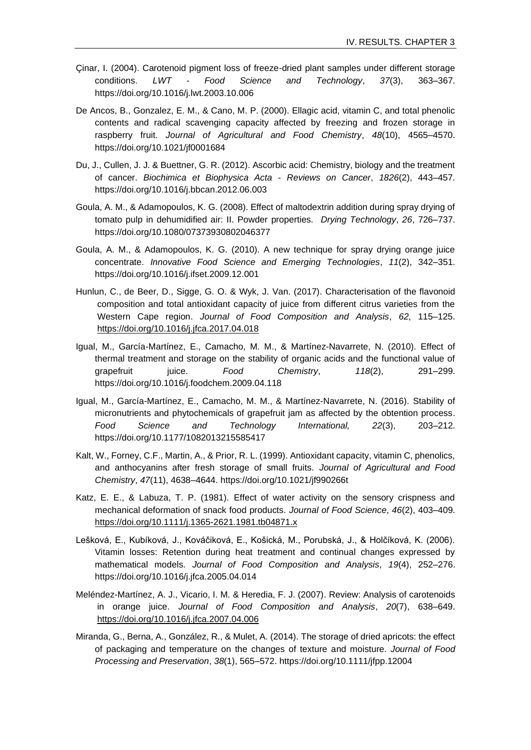- Çinar, I. (2004). Carotenoid pigment loss of freeze-dried plant samples under different storage conditions. *LWT - Food Science and Technology*, *37*(3), 363–367. https://doi.org/10.1016/j.lwt.2003.10.006
- De Ancos, B., Gonzalez, E. M., & Cano, M. P. (2000). Ellagic acid, vitamin C, and total phenolic contents and radical scavenging capacity affected by freezing and frozen storage in raspberry fruit. *Journal of Agricultural and Food Chemistry*, *48*(10), 4565–4570. https://doi.org/10.1021/jf0001684
- Du, J., Cullen, J. J. & Buettner, G. R. (2012). Ascorbic acid: Chemistry, biology and the treatment of cancer. *Biochimica et Biophysica Acta - Reviews on Cancer*, *1826*(2), 443–457. https://doi.org/10.1016/j.bbcan.2012.06.003
- Goula, A. M., & Adamopoulos, K. G. (2008). Effect of maltodextrin addition during spray drying of tomato pulp in dehumidified air: II. Powder properties. *Drying Technology*, *26*, 726–737. https://doi.org/10.1080/07373930802046377
- Goula, A. M., & Adamopoulos, K. G. (2010). A new technique for spray drying orange juice concentrate. *Innovative Food Science and Emerging Technologies*, *11*(2), 342–351. https://doi.org/10.1016/j.ifset.2009.12.001
- Hunlun, C., de Beer, D., Sigge, G. O. & Wyk, J. Van. (2017). Characterisation of the flavonoid composition and total antioxidant capacity of juice from different citrus varieties from the Western Cape region. *Journal of Food Composition and Analysis*, *62*, 115–125. <https://doi.org/10.1016/j.jfca.2017.04.018>
- Igual, M., García-Martínez, E., Camacho, M. M., & Martínez-Navarrete, N. (2010). Effect of thermal treatment and storage on the stability of organic acids and the functional value of grapefruit juice. *Food Chemistry*, *118*(2), 291–299. https://doi.org/10.1016/j.foodchem.2009.04.118
- Igual, M., García-Martínez, E., Camacho, M. M., & Martínez-Navarrete, N. (2016). Stability of micronutrients and phytochemicals of grapefruit jam as affected by the obtention process. *Food Science and Technology International, 22*(3), 203–212. https://doi.org/10.1177/1082013215585417
- Kalt, W., Forney, C.F., Martin, A., & Prior, R. L. (1999). Antioxidant capacity, vitamin C, phenolics, and anthocyanins after fresh storage of small fruits. *Journal of Agricultural and Food Chemistry*, *47*(11), 4638–4644. https://doi.org/10.1021/jf990266t
- Katz, E. E., & Labuza, T. P. (1981). Effect of water activity on the sensory crispness and mechanical deformation of snack food products. *Journal of Food Science*, *46*(2), 403–409. <https://doi.org/10.1111/j.1365-2621.1981.tb04871.x>
- Lešková, E., Kubíková, J., Kováčiková, E., Košická, M., Porubská, J., & Holčíková, K. (2006). Vitamin losses: Retention during heat treatment and continual changes expressed by mathematical models. *Journal of Food Composition and Analysis*, *19*(4), 252–276. https://doi.org/10.1016/j.jfca.2005.04.014
- Meléndez-Martínez, A. J., Vicario, I. M. & Heredia, F. J. (2007). Review: Analysis of carotenoids in orange juice. *Journal of Food Composition and Analysis*, *20*(7), 638–649. <https://doi.org/10.1016/j.jfca.2007.04.006>
- Miranda, G., Berna, A., González, R., & Mulet, A. (2014). The storage of dried apricots: the effect of packaging and temperature on the changes of texture and moisture. *Journal of Food Processing and Preservation*, *38*(1), 565–572. https://doi.org/10.1111/jfpp.12004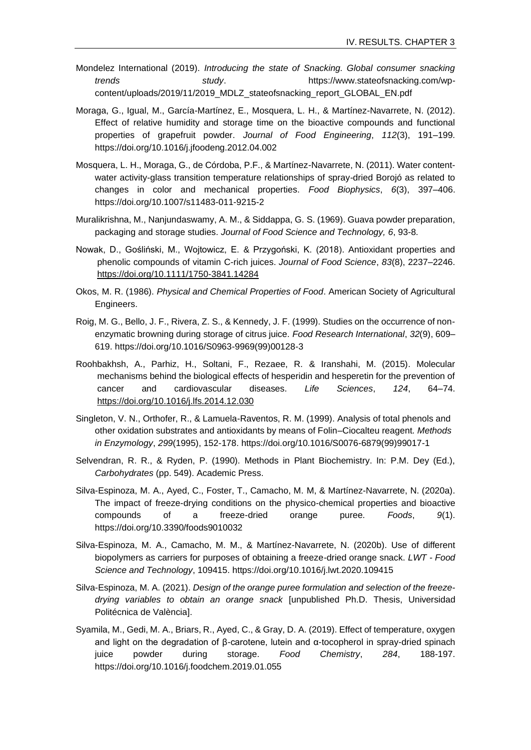- Mondelez International (2019). *Introducing the state of Snacking. Global consumer snacking trends study*. https://www.stateofsnacking.com/wpcontent/uploads/2019/11/2019\_MDLZ\_stateofsnacking\_report\_GLOBAL\_EN.pdf
- Moraga, G., Igual, M., García-Martínez, E., Mosquera, L. H., & Martínez-Navarrete, N. (2012). Effect of relative humidity and storage time on the bioactive compounds and functional properties of grapefruit powder. *Journal of Food Engineering*, *112*(3), 191–199. https://doi.org/10.1016/j.jfoodeng.2012.04.002
- Mosquera, L. H., Moraga, G., de Córdoba, P.F., & Martínez-Navarrete, N. (2011). Water contentwater activity-glass transition temperature relationships of spray-dried Borojó as related to changes in color and mechanical properties. *Food Biophysics*, *6*(3), 397–406. https://doi.org/10.1007/s11483-011-9215-2
- Muralikrishna, M., Nanjundaswamy, A. M., & Siddappa, G. S. (1969). Guava powder preparation, packaging and storage studies. *Journal of Food Science and Technology, 6*, 93-8.
- Nowak, D., Gośliński, M., Wojtowicz, E. & Przygoński, K. (2018). Antioxidant properties and phenolic compounds of vitamin C-rich juices. *Journal of Food Science*, *83*(8), 2237–2246. <https://doi.org/10.1111/1750-3841.14284>
- Okos, M. R. (1986). *Physical and Chemical Properties of Food*. American Society of Agricultural Engineers.
- Roig, M. G., Bello, J. F., Rivera, Z. S., & Kennedy, J. F. (1999). Studies on the occurrence of nonenzymatic browning during storage of citrus juice. *Food Research International*, *32*(9), 609– 619. https://doi.org/10.1016/S0963-9969(99)00128-3
- Roohbakhsh, A., Parhiz, H., Soltani, F., Rezaee, R. & Iranshahi, M. (2015). Molecular mechanisms behind the biological effects of hesperidin and hesperetin for the prevention of cancer and cardiovascular diseases. *Life Sciences*, *124*, 64–74. <https://doi.org/10.1016/j.lfs.2014.12.030>
- Singleton, V. N., Orthofer, R., & Lamuela-Raventos, R. M. (1999). Analysis of total phenols and other oxidation substrates and antioxidants by means of Folin–Ciocalteu reagent. *Methods in Enzymology*, *299*(1995), 152-178. https://doi.org/10.1016/S0076-6879(99)99017-1
- Selvendran, R. R., & Ryden, P. (1990). Methods in Plant Biochemistry. In: P.M. Dey (Ed.), *Carbohydrates* (pp. 549). Academic Press.
- Silva-Espinoza, M. A., Ayed, C., Foster, T., Camacho, M. M, & Martínez-Navarrete, N. (2020a). The impact of freeze-drying conditions on the physico-chemical properties and bioactive compounds of a freeze-dried orange puree. *Foods*, *9*(1). https://doi.org/10.3390/foods9010032
- Silva-Espinoza, M. A., Camacho, M. M., & Martínez-Navarrete, N. (2020b). Use of different biopolymers as carriers for purposes of obtaining a freeze-dried orange snack. *LWT - Food Science and Technology*, 109415. https://doi.org/10.1016/j.lwt.2020.109415
- Silva-Espinoza, M. A. (2021). *Design of the orange puree formulation and selection of the freezedrying variables to obtain an orange snack* [unpublished Ph.D. Thesis, Universidad Politécnica de València].
- Syamila, M., Gedi, M. A., Briars, R., Ayed, C., & Gray, D. A. (2019). Effect of temperature, oxygen and light on the degradation of β-carotene, lutein and α-tocopherol in spray-dried spinach juice powder during storage. *Food Chemistry*, *284*, 188-197. https://doi.org/10.1016/j.foodchem.2019.01.055